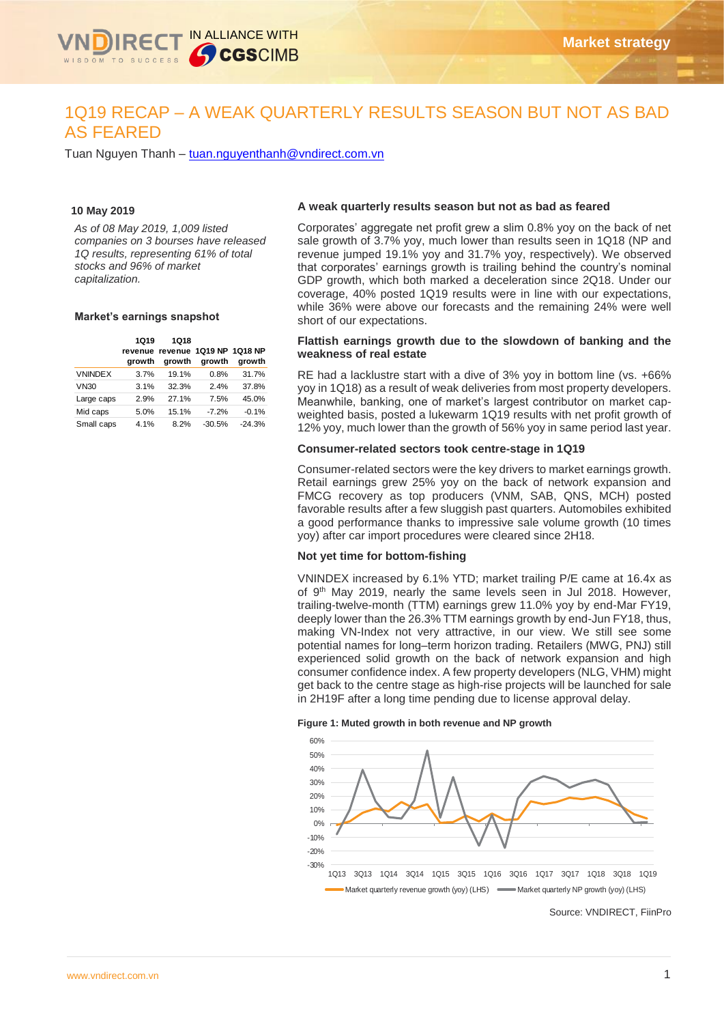

# 1Q19 RECAP – A WEAK QUARTERLY RESULTS SEASON BUT NOT AS BAD AS FEARED

Tuan Nguyen Thanh – [tuan.nguyenthanh@vndirect.com.vn](mailto:tuan.nguyenthanh@vndirect.com.vn)

#### **10 May 2019**

*As of 08 May 2019, 1,009 listed companies on 3 bourses have released 1Q results, representing 61% of total stocks and 96% of market capitalization.*

#### **Market's earnings snapshot**

|                | <b>1Q19</b><br>arowth | 1Q18<br>growth | revenue revenue 1Q19 NP 1Q18 NP<br>growth | growth   |
|----------------|-----------------------|----------------|-------------------------------------------|----------|
| <b>VNINDEX</b> | 3.7%                  | 19.1%          | 0.8%                                      | 31.7%    |
| <b>VN30</b>    | 3.1%                  | 32.3%          | 2.4%                                      | 37.8%    |
| Large caps     | 2.9%                  | 27.1%          | 7.5%                                      | 45.0%    |
| Mid caps       | 5.0%                  | 15.1%          | $-7.2%$                                   | $-0.1%$  |
| Small caps     | 4.1%                  | 8.2%           | $-30.5%$                                  | $-24.3%$ |

#### **A weak quarterly results season but not as bad as feared**

Corporates' aggregate net profit grew a slim 0.8% yoy on the back of net sale growth of 3.7% yoy, much lower than results seen in 1Q18 (NP and revenue jumped 19.1% yoy and 31.7% yoy, respectively). We observed that corporates' earnings growth is trailing behind the country's nominal GDP growth, which both marked a deceleration since 2Q18. Under our coverage, 40% posted 1Q19 results were in line with our expectations, while 36% were above our forecasts and the remaining 24% were well short of our expectations.

#### **Flattish earnings growth due to the slowdown of banking and the weakness of real estate**

RE had a lacklustre start with a dive of 3% yoy in bottom line (vs. +66% yoy in 1Q18) as a result of weak deliveries from most property developers. Meanwhile, banking, one of market's largest contributor on market capweighted basis, posted a lukewarm 1Q19 results with net profit growth of 12% yoy, much lower than the growth of 56% yoy in same period last year.

#### **Consumer-related sectors took centre-stage in 1Q19**

Consumer-related sectors were the key drivers to market earnings growth. Retail earnings grew 25% yoy on the back of network expansion and FMCG recovery as top producers (VNM, SAB, QNS, MCH) posted favorable results after a few sluggish past quarters. Automobiles exhibited a good performance thanks to impressive sale volume growth (10 times yoy) after car import procedures were cleared since 2H18.

## **Not yet time for bottom-fishing**

VNINDEX increased by 6.1% YTD; market trailing P/E came at 16.4x as of 9<sup>th</sup> May 2019, nearly the same levels seen in Jul 2018. However, trailing-twelve-month (TTM) earnings grew 11.0% yoy by end-Mar FY19, deeply lower than the 26.3% TTM earnings growth by end-Jun FY18, thus, making VN-Index not very attractive, in our view. We still see some potential names for long–term horizon trading. Retailers (MWG, PNJ) still experienced solid growth on the back of network expansion and high consumer confidence index. A few property developers (NLG, VHM) might get back to the centre stage as high-rise projects will be launched for sale in 2H19F after a long time pending due to license approval delay.

#### **Figure 1: Muted growth in both revenue and NP growth**



Source: VNDIRECT, FiinPro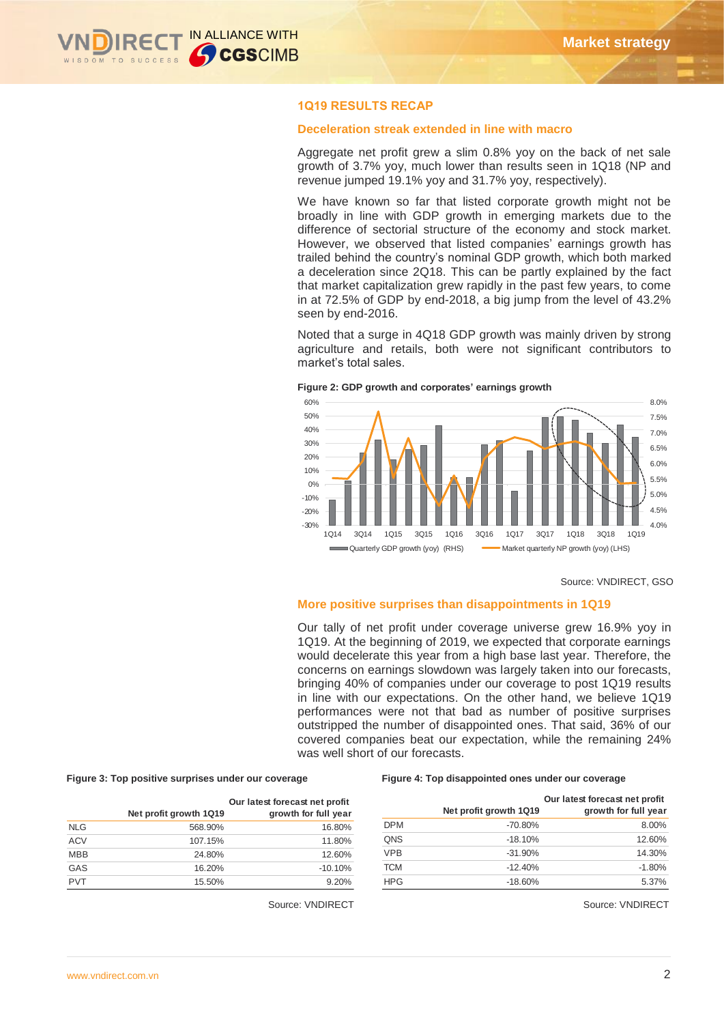

## **1Q19 RESULTS RECAP**

### **Deceleration streak extended in line with macro**

Aggregate net profit grew a slim 0.8% yoy on the back of net sale growth of 3.7% yoy, much lower than results seen in 1Q18 (NP and revenue jumped 19.1% yoy and 31.7% yoy, respectively).

We have known so far that listed corporate growth might not be broadly in line with GDP growth in emerging markets due to the difference of sectorial structure of the economy and stock market. However, we observed that listed companies' earnings growth has trailed behind the country's nominal GDP growth, which both marked a deceleration since 2Q18. This can be partly explained by the fact that market capitalization grew rapidly in the past few years, to come in at 72.5% of GDP by end-2018, a big jump from the level of 43.2% seen by end-2016.

Noted that a surge in 4Q18 GDP growth was mainly driven by strong agriculture and retails, both were not significant contributors to market's total sales.



**Figure 2: GDP growth and corporates' earnings growth**

#### **More positive surprises than disappointments in 1Q19**

Our tally of net profit under coverage universe grew 16.9% yoy in 1Q19. At the beginning of 2019, we expected that corporate earnings would decelerate this year from a high base last year. Therefore, the concerns on earnings slowdown was largely taken into our forecasts, bringing 40% of companies under our coverage to post 1Q19 results in line with our expectations. On the other hand, we believe 1Q19 performances were not that bad as number of positive surprises outstripped the number of disappointed ones. That said, 36% of our covered companies beat our expectation, while the remaining 24% was well short of our forecasts.

#### **Figure 3: Top positive surprises under our coverage Figure 4: Top disappointed ones under our coverage**

| t profit<br>ıll year |            | Net profit growth 1Q19 | Our latest forecast net profit<br>growth for full year |
|----------------------|------------|------------------------|--------------------------------------------------------|
| 16.80%               | <b>DPM</b> | $-70.80\%$             | 8.00%                                                  |
| 11.80%               | QNS        | $-18.10%$              | 12.60%                                                 |
| 12.60%               | <b>VPB</b> | $-31.90\%$             | 14.30%                                                 |
| 10.10%               | <b>TCM</b> | $-12.40%$              | $-1.80%$                                               |
| 9.20%                | <b>HPG</b> | $-18.60\%$             | 5.37%                                                  |

Source: VNDIRECT Source: VNDIRECT

|            | Net profit growth 1Q19 | Our latest forecast net profit<br>growth for full year |
|------------|------------------------|--------------------------------------------------------|
| <b>NLG</b> | 568.90%                | 16.80%                                                 |
| <b>ACV</b> | 107.15%                | 11.80%                                                 |
| <b>MBB</b> | 24.80%                 | 12.60%                                                 |
| GAS        | 16.20%                 | $-10.10%$                                              |
| <b>PVT</b> | 15.50%                 | 9.20%                                                  |

Source: VNDIRECT, GSO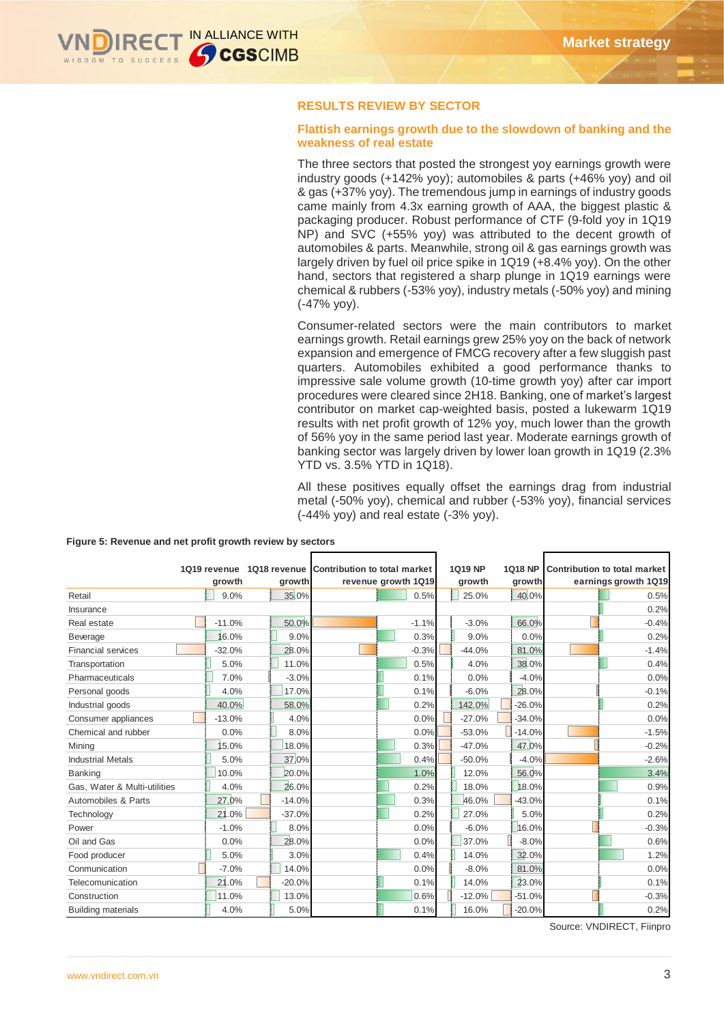

## **RESULTS REVIEW BY SECTOR**

### **Flattish earnings growth due to the slowdown of banking and the weakness of real estate**

The three sectors that posted the strongest yoy earnings growth were industry goods (+142% yoy); automobiles & parts (+46% yoy) and oil & gas (+37% yoy). The tremendous jump in earnings of industry goods came mainly from 4.3x earning growth of AAA, the biggest plastic & packaging producer. Robust performance of CTF (9-fold yoy in 1Q19 NP) and SVC (+55% yoy) was attributed to the decent growth of automobiles & parts. Meanwhile, strong oil & gas earnings growth was largely driven by fuel oil price spike in 1Q19 (+8.4% yoy). On the other hand, sectors that registered a sharp plunge in 1Q19 earnings were chemical & rubbers (-53% yoy), industry metals (-50% yoy) and mining (-47% yoy).

Consumer-related sectors were the main contributors to market earnings growth. Retail earnings grew 25% yoy on the back of network expansion and emergence of FMCG recovery after a few sluggish past quarters. Automobiles exhibited a good performance thanks to impressive sale volume growth (10-time growth yoy) after car import procedures were cleared since 2H18. Banking, one of market's largest contributor on market cap-weighted basis, posted a lukewarm 1Q19 results with net profit growth of 12% yoy, much lower than the growth of 56% yoy in the same period last year. Moderate earnings growth of banking sector was largely driven by lower loan growth in 1Q19 (2.3% YTD vs. 3.5% YTD in 1Q18).

All these positives equally offset the earnings drag from industrial metal (-50% yoy), chemical and rubber (-53% yoy), financial services (-44% yoy) and real estate (-3% yoy).

|                              | 1Q19 revenue | 1Q18 revenue Contribution to total market |                     | 1Q19 NP  | <b>1Q18 NP</b> | <b>Contribution to total market</b> |
|------------------------------|--------------|-------------------------------------------|---------------------|----------|----------------|-------------------------------------|
|                              | growth       | growth                                    | revenue growth 1Q19 | growth   | growth         | earnings growth 1Q19                |
| Retail                       | 9.0%         | 35.0%                                     | 0.5%                | 25.0%    | 40.0%          | 0.5%                                |
| Insurance                    |              |                                           |                     |          |                | 0.2%                                |
| Real estate                  | $-11.0%$     | 50.0%                                     | $-1.1%$             | $-3.0%$  | 66.0%          | $-0.4%$                             |
| Beverage                     | 16.0%        | 9.0%                                      | 0.3%                | 9.0%     | 0.0%           | 0.2%                                |
| <b>Financial services</b>    | $-32.0%$     | 28.0%                                     | $-0.3%$             | $-44.0%$ | 81.0%          | $-1.4%$                             |
| Transportation               | 5.0%         | 11.0%                                     | 0.5%                | 4.0%     | 38.0%          | 0.4%                                |
| Pharmaceuticals              | 7.0%         | $-3.0%$                                   | 0.1%                | 0.0%     | $-4.0%$        | 0.0%                                |
| Personal goods               | 4.0%         | 17.0%                                     | 0.1%                | $-6.0%$  | 28.0%          | $-0.1%$                             |
| Industrial goods             | 40.0%        | 58.0%                                     | 0.2%                | 142.0%   | $-26.0%$       | 0.2%                                |
| Consumer appliances          | $-13.0%$     | 4.0%                                      | 0.0%                | $-27.0%$ | $-34.0%$       | 0.0%                                |
| Chemical and rubber          | 0.0%         | 8.0%                                      | 0.0%                | $-53.0%$ | $-14.0%$       | $-1.5%$                             |
| Minina                       | 5.0%         | 18.0%                                     | 0.3%                | $-47.0%$ | 47.0%          | $-0.2%$                             |
| <b>Industrial Metals</b>     | 5.0%         | 37.0%                                     | 0.4%                | $-50.0%$ | $-4.0%$        | $-2.6%$                             |
| Banking                      | 10.0%        | 20.0%                                     | 1.0%                | 12.0%    | 56.0%          | 3.4%                                |
| Gas. Water & Multi-utilities | 4.0%         | 26.0%                                     | 0.2%                | 18.0%    | 18.0%          | 0.9%                                |
| Automobiles & Parts          | 27.0%        | $-14.0%$                                  | 0.3%                | 46.0%    | $-43.0%$       | 0.1%                                |
| Technology                   | 21.0%        | $-37.0%$                                  | 0.2%                | 27.0%    | 5.0%           | 0.2%                                |
| Power                        | $-1.0%$      | 8.0%                                      | 0.0%                | $-6.0%$  | 16.0%          | $-0.3%$                             |
| Oil and Gas                  | 0.0%         | 28.0%                                     | 0.0%                | 37.0%    | $-8.0%$        | 0.6%                                |
| Food producer                | 5.0%         | 3.0%                                      | 0.4%                | 14.0%    | 32.0%          | 1.2%                                |
| Conmunication                | $-7.0%$      | 14.0%                                     | 0.0%                | $-8.0%$  | 81.0%          | 0.0%                                |
| Telecomunication             | 21.0%        | $-20.0%$                                  | 0.1%                | 14.0%    | 23.0%          | 0.1%                                |
| Construction                 | 11.0%        | 13.0%                                     | 0.6%                | $-12.0%$ | $-51.0%$       | $-0.3%$                             |
| <b>Building materials</b>    | 4.0%         | 5.0%                                      | 0.1%                | 16.0%    | $-20.0%$       | 0.2%                                |

#### **Figure 5: Revenue and net profit growth review by sectors**

Source: VNDIRECT, Fiinpro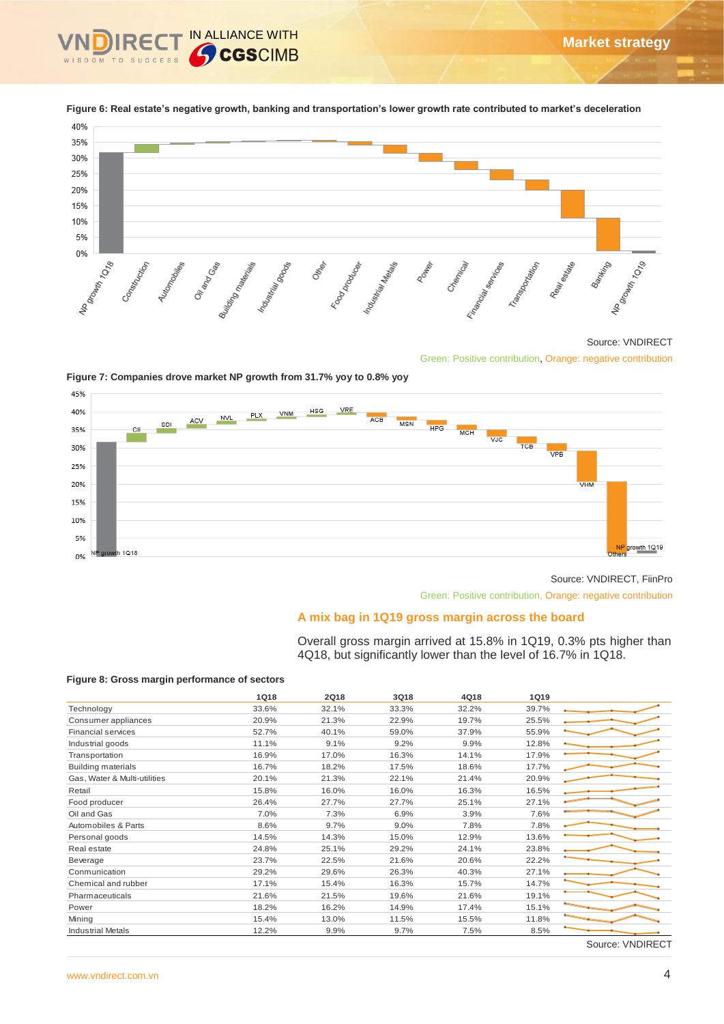

**Figure 6: Real estate's negative growth, banking and transportation's lower growth rate contributed to market's deceleration**

#### Source: VNDIRECT

**Market strategy**



## **A mix bag in 1Q19 gross margin across the board**

#### **Figure 8: Gross margin performance of sectors**

| 30%                                                                                                                                                                                                                                                                                                                                                                                           |                                               |                        |                                                 |                             |                      |                                                                                 |
|-----------------------------------------------------------------------------------------------------------------------------------------------------------------------------------------------------------------------------------------------------------------------------------------------------------------------------------------------------------------------------------------------|-----------------------------------------------|------------------------|-------------------------------------------------|-----------------------------|----------------------|---------------------------------------------------------------------------------|
| 25%                                                                                                                                                                                                                                                                                                                                                                                           |                                               |                        |                                                 |                             |                      |                                                                                 |
| 20%                                                                                                                                                                                                                                                                                                                                                                                           |                                               |                        |                                                 |                             |                      |                                                                                 |
| 15%                                                                                                                                                                                                                                                                                                                                                                                           |                                               |                        |                                                 |                             |                      |                                                                                 |
| 10%                                                                                                                                                                                                                                                                                                                                                                                           |                                               |                        |                                                 |                             |                      |                                                                                 |
| 5%                                                                                                                                                                                                                                                                                                                                                                                            |                                               |                        |                                                 |                             |                      |                                                                                 |
| 0%                                                                                                                                                                                                                                                                                                                                                                                            |                                               |                        |                                                 |                             |                      |                                                                                 |
| Noo <sub>owth 1018</sub><br>Construction<br>Autonometries                                                                                                                                                                                                                                                                                                                                     | Oirango Gas<br>Butching materials<br>Indianas | Ottop<br>Food Products | Industrial Meadats<br><b>Poultiple</b>          | Chemical<br>Financial sept. | Trapportation        | Nos<br><sup>Growth</sup> 10 <sub>19</sub><br>Bankring<br>Real estate            |
|                                                                                                                                                                                                                                                                                                                                                                                               |                                               |                        |                                                 |                             |                      | Source: VNDIRECT<br>Green: Positive contribution, Orange: negative contribution |
| Figure 7: Companies drove market NP growth from 31.7% yoy to 0.8% yoy<br>45%                                                                                                                                                                                                                                                                                                                  |                                               |                        |                                                 |                             |                      |                                                                                 |
| 40%                                                                                                                                                                                                                                                                                                                                                                                           |                                               | VRE<br>HSG             |                                                 |                             |                      |                                                                                 |
| ACV<br>SDI                                                                                                                                                                                                                                                                                                                                                                                    | VNM<br><b>PLX</b><br><b>NVL</b>               |                        | ACB<br>MSN                                      | HPG.                        |                      |                                                                                 |
| 35%<br>−C⊪                                                                                                                                                                                                                                                                                                                                                                                    |                                               |                        |                                                 | <b>MCH</b><br>VJC           |                      |                                                                                 |
| 30%                                                                                                                                                                                                                                                                                                                                                                                           |                                               |                        |                                                 |                             | тсв<br><b>VPB</b>    |                                                                                 |
| 25%                                                                                                                                                                                                                                                                                                                                                                                           |                                               |                        |                                                 |                             |                      |                                                                                 |
| 20%                                                                                                                                                                                                                                                                                                                                                                                           |                                               |                        |                                                 |                             |                      | VHM                                                                             |
|                                                                                                                                                                                                                                                                                                                                                                                               |                                               |                        |                                                 |                             |                      |                                                                                 |
| 15%                                                                                                                                                                                                                                                                                                                                                                                           |                                               |                        |                                                 |                             |                      |                                                                                 |
| 10%                                                                                                                                                                                                                                                                                                                                                                                           |                                               |                        |                                                 |                             |                      |                                                                                 |
| 5%                                                                                                                                                                                                                                                                                                                                                                                            |                                               |                        |                                                 |                             |                      |                                                                                 |
| growth 1Q18<br>0%                                                                                                                                                                                                                                                                                                                                                                             |                                               |                        |                                                 |                             |                      | NP growth 1Q19                                                                  |
|                                                                                                                                                                                                                                                                                                                                                                                               |                                               |                        |                                                 |                             |                      |                                                                                 |
|                                                                                                                                                                                                                                                                                                                                                                                               |                                               |                        |                                                 |                             |                      | Source: VNDIRECT, FiinPro                                                       |
|                                                                                                                                                                                                                                                                                                                                                                                               |                                               |                        |                                                 |                             |                      | Green: Positive contribution, Orange: negative contribution                     |
|                                                                                                                                                                                                                                                                                                                                                                                               |                                               |                        |                                                 |                             |                      |                                                                                 |
|                                                                                                                                                                                                                                                                                                                                                                                               |                                               |                        |                                                 |                             |                      |                                                                                 |
|                                                                                                                                                                                                                                                                                                                                                                                               |                                               |                        | A mix bag in 1Q19 gross margin across the board |                             |                      |                                                                                 |
|                                                                                                                                                                                                                                                                                                                                                                                               |                                               |                        |                                                 |                             |                      | Overall gross margin arrived at 15.8% in 1Q19, 0.3% pts higher than             |
|                                                                                                                                                                                                                                                                                                                                                                                               |                                               |                        |                                                 |                             |                      | 4Q18, but significantly lower than the level of 16.7% in 1Q18.                  |
|                                                                                                                                                                                                                                                                                                                                                                                               |                                               |                        |                                                 |                             |                      |                                                                                 |
|                                                                                                                                                                                                                                                                                                                                                                                               |                                               |                        |                                                 |                             |                      |                                                                                 |
|                                                                                                                                                                                                                                                                                                                                                                                               | 1Q18<br>33.6%                                 | 2Q18<br>32.1%          | 3Q18<br>33.3%                                   | 4Q18<br>32.2%               | <b>1Q19</b><br>39.7% |                                                                                 |
|                                                                                                                                                                                                                                                                                                                                                                                               | 20.9%                                         | 21.3%                  | 22.9%                                           | 19.7%                       | 25.5%                |                                                                                 |
|                                                                                                                                                                                                                                                                                                                                                                                               | 52.7%                                         | 40.1%                  | 59.0%                                           | 37.9%                       | 55.9%                |                                                                                 |
|                                                                                                                                                                                                                                                                                                                                                                                               | 11.1%                                         | 9.1%                   | 9.2%                                            | 9.9%                        | 12.8%                |                                                                                 |
|                                                                                                                                                                                                                                                                                                                                                                                               | 16.9%                                         | 17.0%                  | 16.3%                                           | 14.1%                       | 17.9%                |                                                                                 |
|                                                                                                                                                                                                                                                                                                                                                                                               | 16.7%<br>20.1%                                | 18.2%<br>21.3%         | 17.5%<br>22.1%                                  | 18.6%<br>21.4%              | 17.7%<br>20.9%       |                                                                                 |
|                                                                                                                                                                                                                                                                                                                                                                                               | 15.8%                                         | 16.0%                  | 16.0%                                           | 16.3%                       | 16.5%                |                                                                                 |
|                                                                                                                                                                                                                                                                                                                                                                                               | 26.4%                                         | 27.7%                  | 27.7%                                           | 25.1%                       | 27.1%                |                                                                                 |
|                                                                                                                                                                                                                                                                                                                                                                                               | 7.0%                                          | 7.3%                   | 6.9%                                            | 3.9%                        | 7.6%                 |                                                                                 |
|                                                                                                                                                                                                                                                                                                                                                                                               | 8.6%                                          | 9.7%                   | 9.0%                                            | 7.8%                        | 7.8%                 |                                                                                 |
|                                                                                                                                                                                                                                                                                                                                                                                               | 14.5%                                         | 14.3%                  | 15.0%                                           | 12.9%                       | 13.6%                |                                                                                 |
|                                                                                                                                                                                                                                                                                                                                                                                               | 24.8%<br>23.7%                                | 25.1%<br>22.5%         | 29.2%<br>21.6%                                  | 24.1%<br>20.6%              | 23.8%<br>22.2%       |                                                                                 |
|                                                                                                                                                                                                                                                                                                                                                                                               | 29.2%                                         | 29.6%                  | 26.3%                                           | 40.3%                       | 27.1%                |                                                                                 |
|                                                                                                                                                                                                                                                                                                                                                                                               | 17.1%                                         | 15.4%                  | 16.3%                                           | 15.7%                       | 14.7%                |                                                                                 |
|                                                                                                                                                                                                                                                                                                                                                                                               | 21.6%                                         | 21.5%                  | 19.6%                                           | 21.6%                       | 19.1%                |                                                                                 |
| Figure 8: Gross margin performance of sectors<br>Technology<br>Consumer appliances<br>Financial services<br>Industrial goods<br>Transportation<br><b>Building materials</b><br>Gas, Water & Multi-utilities<br>Retail<br>Food producer<br>Oil and Gas<br>Automobiles & Parts<br>Personal goods<br>Real estate<br>Beverage<br>Conmunication<br>Chemical and rubber<br>Pharmaceuticals<br>Power | 18.2%                                         | 16.2%                  | 14.9%                                           | 17.4%                       | 15.1%                |                                                                                 |
| Mining<br><b>Industrial Metals</b>                                                                                                                                                                                                                                                                                                                                                            | 15.4%<br>12.2%                                | 13.0%<br>9.9%          | 11.5%<br>9.7%                                   | 15.5%<br>7.5%               | 11.8%<br>8.5%        |                                                                                 |

Source: VNDIRECT, FiinPro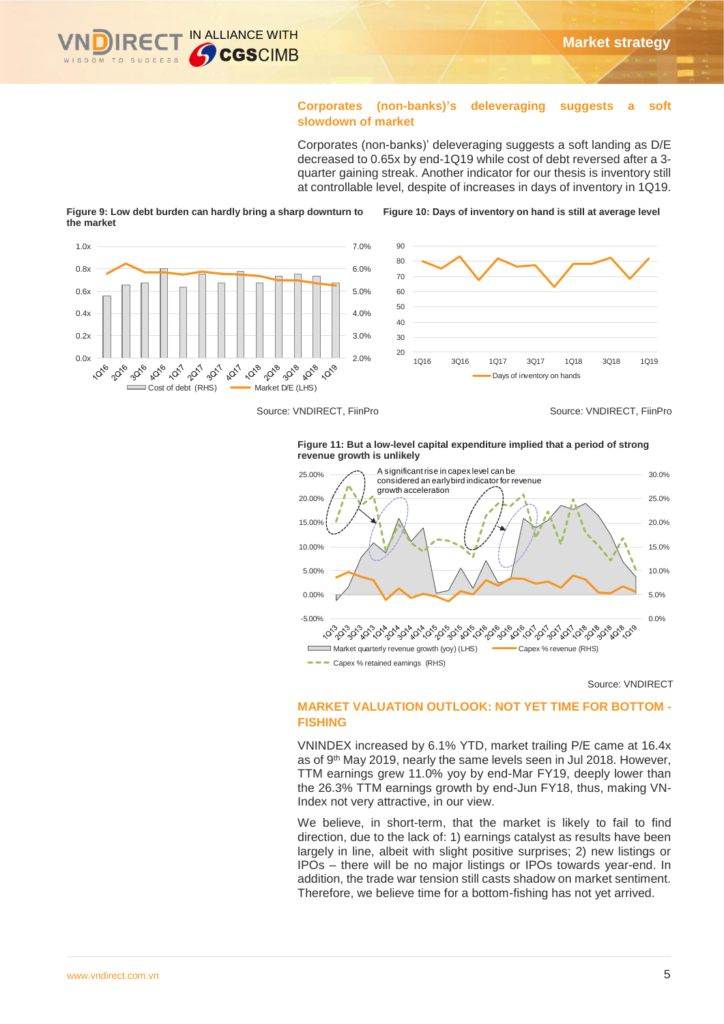

## **Corporates (non-banks)'s deleveraging suggests a soft slowdown of market**

Corporates (non-banks)' deleveraging suggests a soft landing as D/E decreased to 0.65x by end-1Q19 while cost of debt reversed after a 3 quarter gaining streak. Another indicator for our thesis is inventory still at controllable level, despite of increases in days of inventory in 1Q19.



#### **Figure 9: Low debt burden can hardly bring a sharp downturn to the market**

Source: VNDIRECT, FiinPro Source: VNDIRECT, FiinPro





Source: VNDIRECT

## **MARKET VALUATION OUTLOOK: NOT YET TIME FOR BOTTOM - FISHING**

VNINDEX increased by 6.1% YTD, market trailing P/E came at 16.4x as of 9<sup>th</sup> May 2019, nearly the same levels seen in Jul 2018. However, TTM earnings grew 11.0% yoy by end-Mar FY19, deeply lower than the 26.3% TTM earnings growth by end-Jun FY18, thus, making VN-Index not very attractive, in our view.

We believe, in short-term, that the market is likely to fail to find direction, due to the lack of: 1) earnings catalyst as results have been largely in line, albeit with slight positive surprises; 2) new listings or IPOs – there will be no major listings or IPOs towards year-end. In addition, the trade war tension still casts shadow on market sentiment. Therefore, we believe time for a bottom-fishing has not yet arrived.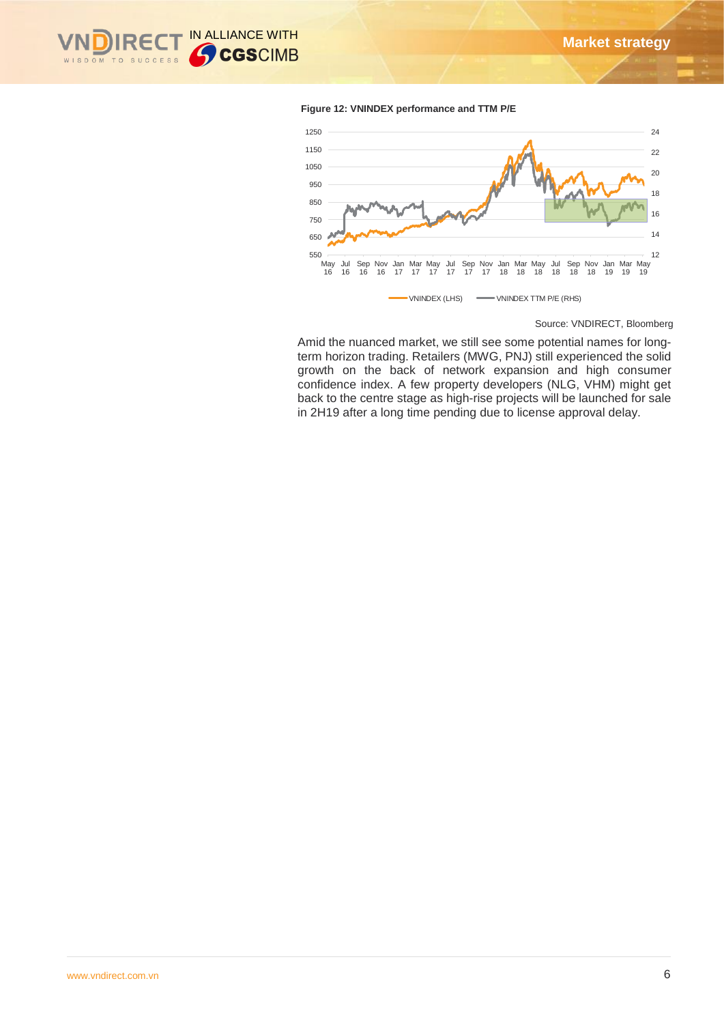

#### **Figure 12: VNINDEX performance and TTM P/E**



Source: VNDIRECT, Bloomberg

Amid the nuanced market, we still see some potential names for longterm horizon trading. Retailers (MWG, PNJ) still experienced the solid growth on the back of network expansion and high consumer confidence index. A few property developers (NLG, VHM) might get back to the centre stage as high-rise projects will be launched for sale in 2H19 after a long time pending due to license approval delay.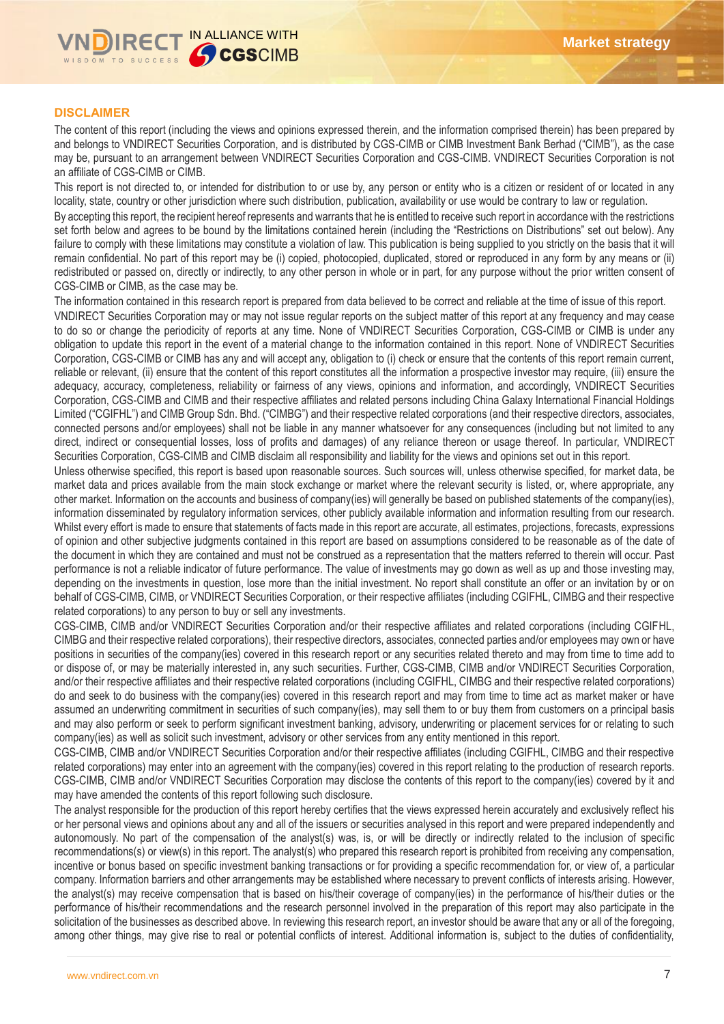

## **DISCLAIMER**

The content of this report (including the views and opinions expressed therein, and the information comprised therein) has been prepared by and belongs to VNDIRECT Securities Corporation, and is distributed by CGS-CIMB or CIMB Investment Bank Berhad ("CIMB"), as the case may be, pursuant to an arrangement between VNDIRECT Securities Corporation and CGS-CIMB. VNDIRECT Securities Corporation is not an affiliate of CGS-CIMB or CIMB.

This report is not directed to, or intended for distribution to or use by, any person or entity who is a citizen or resident of or located in any locality, state, country or other jurisdiction where such distribution, publication, availability or use would be contrary to law or regulation.

By accepting this report, the recipient hereof represents and warrants that he is entitled to receive such report in accordance with the restrictions set forth below and agrees to be bound by the limitations contained herein (including the "Restrictions on Distributions" set out below). Any failure to comply with these limitations may constitute a violation of law. This publication is being supplied to you strictly on the basis that it will remain confidential. No part of this report may be (i) copied, photocopied, duplicated, stored or reproduced in any form by any means or (ii) redistributed or passed on, directly or indirectly, to any other person in whole or in part, for any purpose without the prior written consent of CGS-CIMB or CIMB, as the case may be.

The information contained in this research report is prepared from data believed to be correct and reliable at the time of issue of this report.

VNDIRECT Securities Corporation may or may not issue regular reports on the subject matter of this report at any frequency and may cease to do so or change the periodicity of reports at any time. None of VNDIRECT Securities Corporation, CGS-CIMB or CIMB is under any obligation to update this report in the event of a material change to the information contained in this report. None of VNDIRECT Securities Corporation, CGS-CIMB or CIMB has any and will accept any, obligation to (i) check or ensure that the contents of this report remain current, reliable or relevant, (ii) ensure that the content of this report constitutes all the information a prospective investor may require, (iii) ensure the adequacy, accuracy, completeness, reliability or fairness of any views, opinions and information, and accordingly, VNDIRECT Securities Corporation, CGS-CIMB and CIMB and their respective affiliates and related persons including China Galaxy International Financial Holdings Limited ("CGIFHL") and CIMB Group Sdn. Bhd. ("CIMBG") and their respective related corporations (and their respective directors, associates, connected persons and/or employees) shall not be liable in any manner whatsoever for any consequences (including but not limited to any direct, indirect or consequential losses, loss of profits and damages) of any reliance thereon or usage thereof. In particular, VNDIRECT Securities Corporation, CGS-CIMB and CIMB disclaim all responsibility and liability for the views and opinions set out in this report.

Unless otherwise specified, this report is based upon reasonable sources. Such sources will, unless otherwise specified, for market data, be market data and prices available from the main stock exchange or market where the relevant security is listed, or, where appropriate, any other market. Information on the accounts and business of company(ies) will generally be based on published statements of the company(ies), information disseminated by regulatory information services, other publicly available information and information resulting from our research. Whilst every effort is made to ensure that statements of facts made in this report are accurate, all estimates, projections, forecasts, expressions of opinion and other subjective judgments contained in this report are based on assumptions considered to be reasonable as of the date of the document in which they are contained and must not be construed as a representation that the matters referred to therein will occur. Past performance is not a reliable indicator of future performance. The value of investments may go down as well as up and those investing may, depending on the investments in question, lose more than the initial investment. No report shall constitute an offer or an invitation by or on behalf of CGS-CIMB, CIMB, or VNDIRECT Securities Corporation, or their respective affiliates (including CGIFHL, CIMBG and their respective related corporations) to any person to buy or sell any investments.

CGS-CIMB, CIMB and/or VNDIRECT Securities Corporation and/or their respective affiliates and related corporations (including CGIFHL, CIMBG and their respective related corporations), their respective directors, associates, connected parties and/or employees may own or have positions in securities of the company(ies) covered in this research report or any securities related thereto and may from time to time add to or dispose of, or may be materially interested in, any such securities. Further, CGS-CIMB, CIMB and/or VNDIRECT Securities Corporation, and/or their respective affiliates and their respective related corporations (including CGIFHL, CIMBG and their respective related corporations) do and seek to do business with the company(ies) covered in this research report and may from time to time act as market maker or have assumed an underwriting commitment in securities of such company(ies), may sell them to or buy them from customers on a principal basis and may also perform or seek to perform significant investment banking, advisory, underwriting or placement services for or relating to such company(ies) as well as solicit such investment, advisory or other services from any entity mentioned in this report.

CGS-CIMB, CIMB and/or VNDIRECT Securities Corporation and/or their respective affiliates (including CGIFHL, CIMBG and their respective related corporations) may enter into an agreement with the company(ies) covered in this report relating to the production of research reports. CGS-CIMB, CIMB and/or VNDIRECT Securities Corporation may disclose the contents of this report to the company(ies) covered by it and may have amended the contents of this report following such disclosure.

The analyst responsible for the production of this report hereby certifies that the views expressed herein accurately and exclusively reflect his or her personal views and opinions about any and all of the issuers or securities analysed in this report and were prepared independently and autonomously. No part of the compensation of the analyst(s) was, is, or will be directly or indirectly related to the inclusion of specific recommendations(s) or view(s) in this report. The analyst(s) who prepared this research report is prohibited from receiving any compensation, incentive or bonus based on specific investment banking transactions or for providing a specific recommendation for, or view of, a particular company. Information barriers and other arrangements may be established where necessary to prevent conflicts of interests arising. However, the analyst(s) may receive compensation that is based on his/their coverage of company(ies) in the performance of his/their duties or the performance of his/their recommendations and the research personnel involved in the preparation of this report may also participate in the solicitation of the businesses as described above. In reviewing this research report, an investor should be aware that any or all of the foregoing, among other things, may give rise to real or potential conflicts of interest. Additional information is, subject to the duties of confidentiality,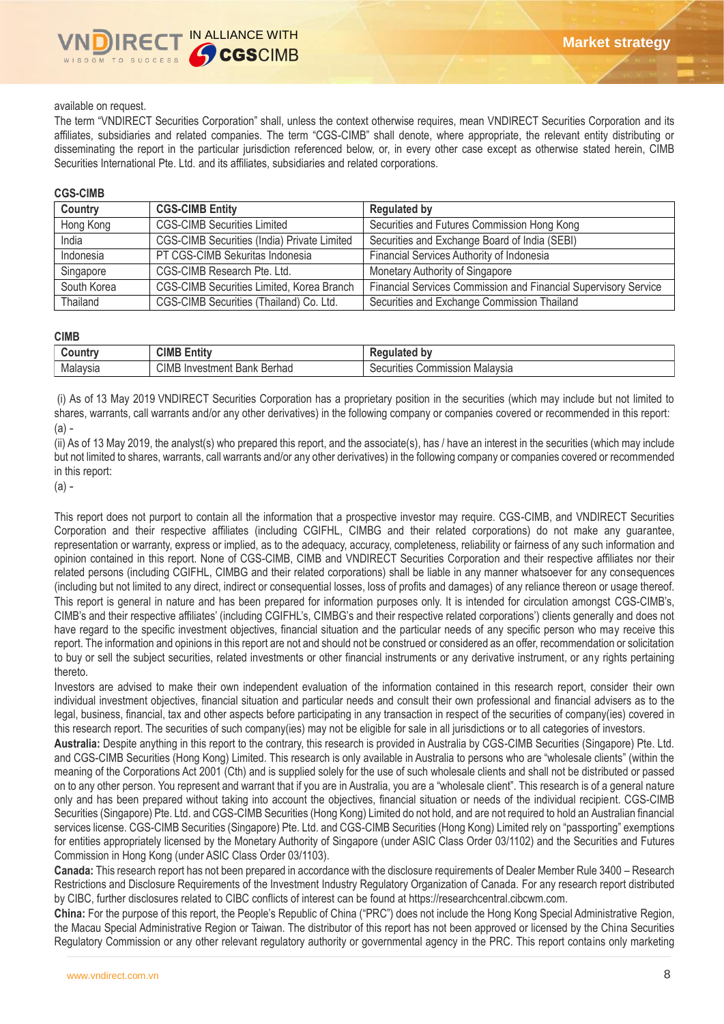#### available on request.

The term "VNDIRECT Securities Corporation" shall, unless the context otherwise requires, mean VNDIRECT Securities Corporation and its affiliates, subsidiaries and related companies. The term "CGS-CIMB" shall denote, where appropriate, the relevant entity distributing or disseminating the report in the particular jurisdiction referenced below, or, in every other case except as otherwise stated herein, CIMB Securities International Pte. Ltd. and its affiliates, subsidiaries and related corporations.

#### **CGS-CIMB**

| Country     | <b>CGS-CIMB Entity</b>                      | <b>Regulated by</b>                                             |
|-------------|---------------------------------------------|-----------------------------------------------------------------|
| Hong Kong   | <b>CGS-CIMB Securities Limited</b>          | Securities and Futures Commission Hong Kong                     |
| India       | CGS-CIMB Securities (India) Private Limited | Securities and Exchange Board of India (SEBI)                   |
| Indonesia   | PT CGS-CIMB Sekuritas Indonesia             | Financial Services Authority of Indonesia                       |
| Singapore   | CGS-CIMB Research Pte. Ltd.                 | Monetary Authority of Singapore                                 |
| South Korea | CGS-CIMB Securities Limited, Korea Branch   | Financial Services Commission and Financial Supervisory Service |
| Thailand    | CGS-CIMB Securities (Thailand) Co. Ltd.     | Securities and Exchange Commission Thailand                     |

#### **CIMB**

| ountr    | <b>CIMB</b><br>$\overline{1}$<br>Entity  | b٧<br>.<br>iulated<br>$\sim$                |
|----------|------------------------------------------|---------------------------------------------|
| Malaysia | <b>CIMB</b> Investment<br>Berhad<br>Bank | Malavsia<br>ommission<br>Securities<br>៶៸៶៸ |

(i) As of 13 May 2019 VNDIRECT Securities Corporation has a proprietary position in the securities (which may include but not limited to shares, warrants, call warrants and/or any other derivatives) in the following company or companies covered or recommended in this report: (a) -

(ii) As of 13 May 2019, the analyst(s) who prepared this report, and the associate(s), has / have an interest in the securities (which may include but not limited to shares, warrants, call warrants and/or any other derivatives) in the following company or companies covered or recommended in this report:

(a) -

This report does not purport to contain all the information that a prospective investor may require. CGS-CIMB, and VNDIRECT Securities Corporation and their respective affiliates (including CGIFHL, CIMBG and their related corporations) do not make any guarantee, representation or warranty, express or implied, as to the adequacy, accuracy, completeness, reliability or fairness of any such information and opinion contained in this report. None of CGS-CIMB, CIMB and VNDIRECT Securities Corporation and their respective affiliates nor their related persons (including CGIFHL, CIMBG and their related corporations) shall be liable in any manner whatsoever for any consequences (including but not limited to any direct, indirect or consequential losses, loss of profits and damages) of any reliance thereon or usage thereof. This report is general in nature and has been prepared for information purposes only. It is intended for circulation amongst CGS-CIMB's, CIMB's and their respective affiliates' (including CGIFHL's, CIMBG's and their respective related corporations') clients generally and does not have regard to the specific investment objectives, financial situation and the particular needs of any specific person who may receive this report. The information and opinions in this report are not and should not be construed or considered as an offer, recommendation or solicitation to buy or sell the subject securities, related investments or other financial instruments or any derivative instrument, or any rights pertaining thereto.

Investors are advised to make their own independent evaluation of the information contained in this research report, consider their own individual investment objectives, financial situation and particular needs and consult their own professional and financial advisers as to the legal, business, financial, tax and other aspects before participating in any transaction in respect of the securities of company(ies) covered in this research report. The securities of such company(ies) may not be eligible for sale in all jurisdictions or to all categories of investors.

**Australia:** Despite anything in this report to the contrary, this research is provided in Australia by CGS-CIMB Securities (Singapore) Pte. Ltd. and CGS-CIMB Securities (Hong Kong) Limited. This research is only available in Australia to persons who are "wholesale clients" (within the meaning of the Corporations Act 2001 (Cth) and is supplied solely for the use of such wholesale clients and shall not be distributed or passed on to any other person. You represent and warrant that if you are in Australia, you are a "wholesale client". This research is of a general nature only and has been prepared without taking into account the objectives, financial situation or needs of the individual recipient. CGS-CIMB Securities (Singapore) Pte. Ltd. and CGS-CIMB Securities (Hong Kong) Limited do not hold, and are not required to hold an Australian financial services license. CGS-CIMB Securities (Singapore) Pte. Ltd. and CGS-CIMB Securities (Hong Kong) Limited rely on "passporting" exemptions for entities appropriately licensed by the Monetary Authority of Singapore (under ASIC Class Order 03/1102) and the Securities and Futures Commission in Hong Kong (under ASIC Class Order 03/1103).

**Canada:** This research report has not been prepared in accordance with the disclosure requirements of Dealer Member Rule 3400 – Research Restrictions and Disclosure Requirements of the Investment Industry Regulatory Organization of Canada. For any research report distributed by CIBC, further disclosures related to CIBC conflicts of interest can be found at https://researchcentral.cibcwm.com.

**China:** For the purpose of this report, the People's Republic of China ("PRC") does not include the Hong Kong Special Administrative Region, the Macau Special Administrative Region or Taiwan. The distributor of this report has not been approved or licensed by the China Securities Regulatory Commission or any other relevant regulatory authority or governmental agency in the PRC. This report contains only marketing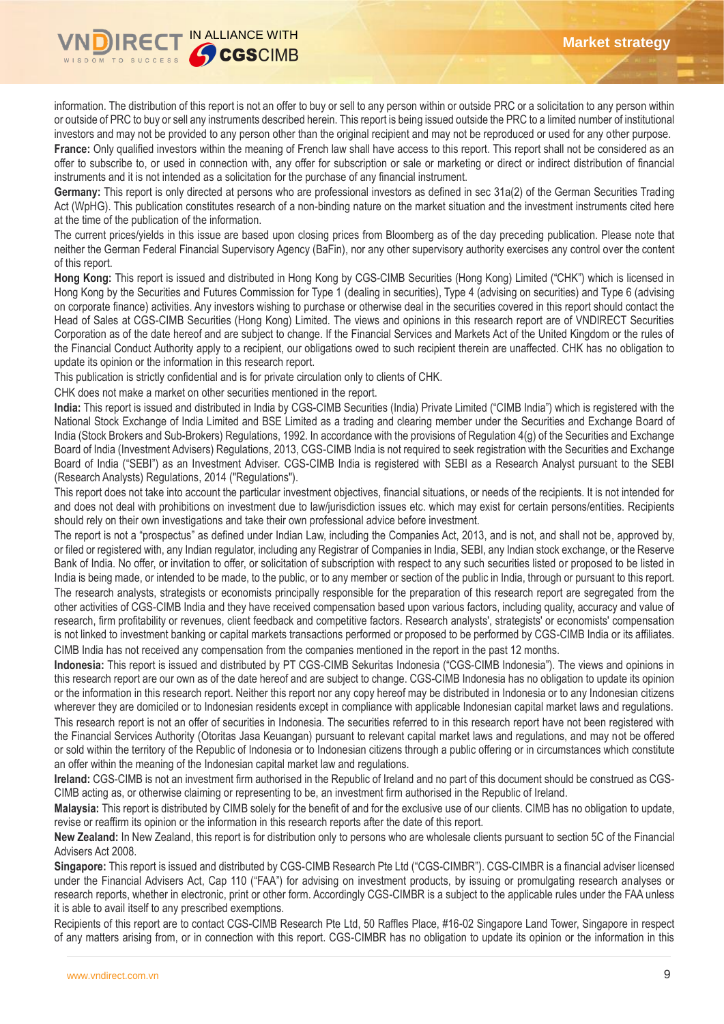

information. The distribution of this report is not an offer to buy or sell to any person within or outside PRC or a solicitation to any person within or outside of PRC to buy or sell any instruments described herein. This report is being issued outside the PRC to a limited number of institutional investors and may not be provided to any person other than the original recipient and may not be reproduced or used for any other purpose. **France:** Only qualified investors within the meaning of French law shall have access to this report. This report shall not be considered as an offer to subscribe to, or used in connection with, any offer for subscription or sale or marketing or direct or indirect distribution of financial instruments and it is not intended as a solicitation for the purchase of any financial instrument.

**Germany:** This report is only directed at persons who are professional investors as defined in sec 31a(2) of the German Securities Trading Act (WpHG). This publication constitutes research of a non-binding nature on the market situation and the investment instruments cited here at the time of the publication of the information.

The current prices/yields in this issue are based upon closing prices from Bloomberg as of the day preceding publication. Please note that neither the German Federal Financial Supervisory Agency (BaFin), nor any other supervisory authority exercises any control over the content of this report.

**Hong Kong:** This report is issued and distributed in Hong Kong by CGS-CIMB Securities (Hong Kong) Limited ("CHK") which is licensed in Hong Kong by the Securities and Futures Commission for Type 1 (dealing in securities), Type 4 (advising on securities) and Type 6 (advising on corporate finance) activities. Any investors wishing to purchase or otherwise deal in the securities covered in this report should contact the Head of Sales at CGS-CIMB Securities (Hong Kong) Limited. The views and opinions in this research report are of VNDIRECT Securities Corporation as of the date hereof and are subject to change. If the Financial Services and Markets Act of the United Kingdom or the rules of the Financial Conduct Authority apply to a recipient, our obligations owed to such recipient therein are unaffected. CHK has no obligation to update its opinion or the information in this research report.

This publication is strictly confidential and is for private circulation only to clients of CHK.

CHK does not make a market on other securities mentioned in the report.

**India:** This report is issued and distributed in India by CGS-CIMB Securities (India) Private Limited ("CIMB India") which is registered with the National Stock Exchange of India Limited and BSE Limited as a trading and clearing member under the Securities and Exchange Board of India (Stock Brokers and Sub-Brokers) Regulations, 1992. In accordance with the provisions of Regulation 4(g) of the Securities and Exchange Board of India (Investment Advisers) Regulations, 2013, CGS-CIMB India is not required to seek registration with the Securities and Exchange Board of India ("SEBI") as an Investment Adviser. CGS-CIMB India is registered with SEBI as a Research Analyst pursuant to the SEBI (Research Analysts) Regulations, 2014 ("Regulations").

This report does not take into account the particular investment objectives, financial situations, or needs of the recipients. It is not intended for and does not deal with prohibitions on investment due to law/jurisdiction issues etc. which may exist for certain persons/entities. Recipients should rely on their own investigations and take their own professional advice before investment.

The report is not a "prospectus" as defined under Indian Law, including the Companies Act, 2013, and is not, and shall not be, approved by, or filed or registered with, any Indian regulator, including any Registrar of Companies in India, SEBI, any Indian stock exchange, or the Reserve Bank of India. No offer, or invitation to offer, or solicitation of subscription with respect to any such securities listed or proposed to be listed in India is being made, or intended to be made, to the public, or to any member or section of the public in India, through or pursuant to this report. The research analysts, strategists or economists principally responsible for the preparation of this research report are segregated from the other activities of CGS-CIMB India and they have received compensation based upon various factors, including quality, accuracy and value of research, firm profitability or revenues, client feedback and competitive factors. Research analysts', strategists' or economists' compensation is not linked to investment banking or capital markets transactions performed or proposed to be performed by CGS-CIMB India or its affiliates. CIMB India has not received any compensation from the companies mentioned in the report in the past 12 months.

**Indonesia:** This report is issued and distributed by PT CGS-CIMB Sekuritas Indonesia ("CGS-CIMB Indonesia"). The views and opinions in this research report are our own as of the date hereof and are subject to change. CGS-CIMB Indonesia has no obligation to update its opinion or the information in this research report. Neither this report nor any copy hereof may be distributed in Indonesia or to any Indonesian citizens wherever they are domiciled or to Indonesian residents except in compliance with applicable Indonesian capital market laws and regulations. This research report is not an offer of securities in Indonesia. The securities referred to in this research report have not been registered with the Financial Services Authority (Otoritas Jasa Keuangan) pursuant to relevant capital market laws and regulations, and may not be offered or sold within the territory of the Republic of Indonesia or to Indonesian citizens through a public offering or in circumstances which constitute an offer within the meaning of the Indonesian capital market law and regulations.

**Ireland:** CGS-CIMB is not an investment firm authorised in the Republic of Ireland and no part of this document should be construed as CGS-CIMB acting as, or otherwise claiming or representing to be, an investment firm authorised in the Republic of Ireland.

**Malaysia:** This report is distributed by CIMB solely for the benefit of and for the exclusive use of our clients. CIMB has no obligation to update, revise or reaffirm its opinion or the information in this research reports after the date of this report.

**New Zealand:** In New Zealand, this report is for distribution only to persons who are wholesale clients pursuant to section 5C of the Financial Advisers Act 2008.

**Singapore:** This report is issued and distributed by CGS-CIMB Research Pte Ltd ("CGS-CIMBR"). CGS-CIMBR is a financial adviser licensed under the Financial Advisers Act, Cap 110 ("FAA") for advising on investment products, by issuing or promulgating research analyses or research reports, whether in electronic, print or other form. Accordingly CGS-CIMBR is a subject to the applicable rules under the FAA unless it is able to avail itself to any prescribed exemptions.

Recipients of this report are to contact CGS-CIMB Research Pte Ltd, 50 Raffles Place, #16-02 Singapore Land Tower, Singapore in respect of any matters arising from, or in connection with this report. CGS-CIMBR has no obligation to update its opinion or the information in this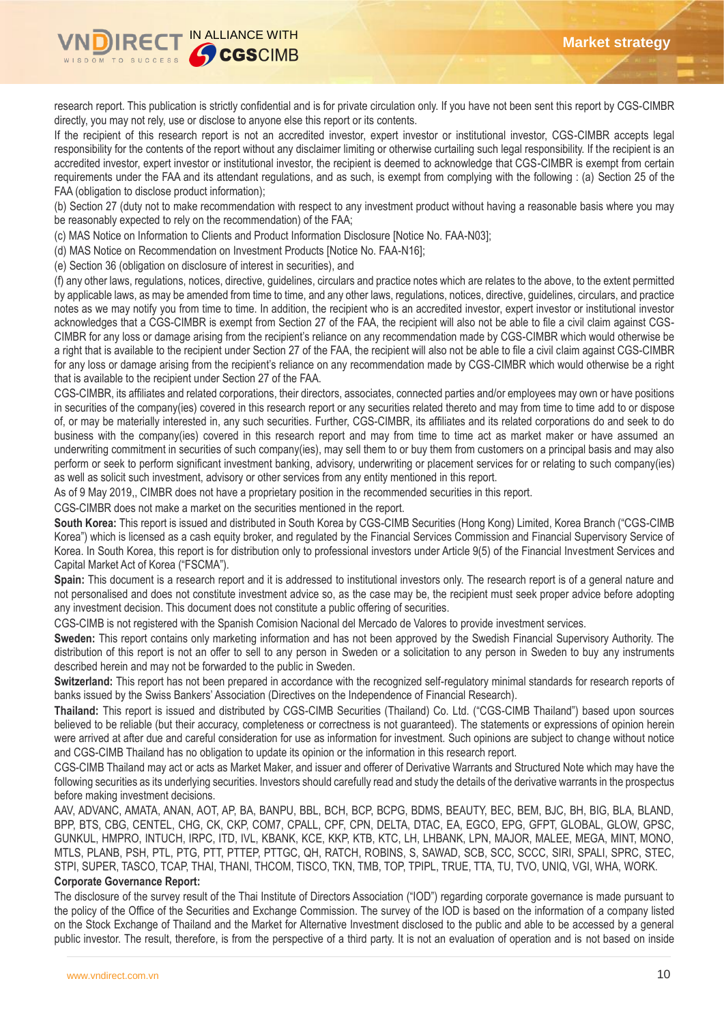

research report. This publication is strictly confidential and is for private circulation only. If you have not been sent this report by CGS-CIMBR directly, you may not rely, use or disclose to anyone else this report or its contents.

If the recipient of this research report is not an accredited investor, expert investor or institutional investor, CGS-CIMBR accepts legal responsibility for the contents of the report without any disclaimer limiting or otherwise curtailing such legal responsibility. If the recipient is an accredited investor, expert investor or institutional investor, the recipient is deemed to acknowledge that CGS-CIMBR is exempt from certain requirements under the FAA and its attendant regulations, and as such, is exempt from complying with the following : (a) Section 25 of the FAA (obligation to disclose product information);

(b) Section 27 (duty not to make recommendation with respect to any investment product without having a reasonable basis where you may be reasonably expected to rely on the recommendation) of the FAA;

(c) MAS Notice on Information to Clients and Product Information Disclosure [Notice No. FAA-N03];

(d) MAS Notice on Recommendation on Investment Products [Notice No. FAA-N16];

(e) Section 36 (obligation on disclosure of interest in securities), and

(f) any other laws, regulations, notices, directive, guidelines, circulars and practice notes which are relates to the above, to the extent permitted by applicable laws, as may be amended from time to time, and any other laws, regulations, notices, directive, guidelines, circulars, and practice notes as we may notify you from time to time. In addition, the recipient who is an accredited investor, expert investor or institutional investor acknowledges that a CGS-CIMBR is exempt from Section 27 of the FAA, the recipient will also not be able to file a civil claim against CGS-CIMBR for any loss or damage arising from the recipient's reliance on any recommendation made by CGS-CIMBR which would otherwise be a right that is available to the recipient under Section 27 of the FAA, the recipient will also not be able to file a civil claim against CGS-CIMBR for any loss or damage arising from the recipient's reliance on any recommendation made by CGS-CIMBR which would otherwise be a right that is available to the recipient under Section 27 of the FAA.

CGS-CIMBR, its affiliates and related corporations, their directors, associates, connected parties and/or employees may own or have positions in securities of the company(ies) covered in this research report or any securities related thereto and may from time to time add to or dispose of, or may be materially interested in, any such securities. Further, CGS-CIMBR, its affiliates and its related corporations do and seek to do business with the company(ies) covered in this research report and may from time to time act as market maker or have assumed an underwriting commitment in securities of such company(ies), may sell them to or buy them from customers on a principal basis and may also perform or seek to perform significant investment banking, advisory, underwriting or placement services for or relating to such company(ies) as well as solicit such investment, advisory or other services from any entity mentioned in this report.

As of 9 May 2019,, CIMBR does not have a proprietary position in the recommended securities in this report.

CGS-CIMBR does not make a market on the securities mentioned in the report.

**South Korea:** This report is issued and distributed in South Korea by CGS-CIMB Securities (Hong Kong) Limited, Korea Branch ("CGS-CIMB Korea") which is licensed as a cash equity broker, and regulated by the Financial Services Commission and Financial Supervisory Service of Korea. In South Korea, this report is for distribution only to professional investors under Article 9(5) of the Financial Investment Services and Capital Market Act of Korea ("FSCMA").

**Spain:** This document is a research report and it is addressed to institutional investors only. The research report is of a general nature and not personalised and does not constitute investment advice so, as the case may be, the recipient must seek proper advice before adopting any investment decision. This document does not constitute a public offering of securities.

CGS-CIMB is not registered with the Spanish Comision Nacional del Mercado de Valores to provide investment services.

**Sweden:** This report contains only marketing information and has not been approved by the Swedish Financial Supervisory Authority. The distribution of this report is not an offer to sell to any person in Sweden or a solicitation to any person in Sweden to buy any instruments described herein and may not be forwarded to the public in Sweden.

**Switzerland:** This report has not been prepared in accordance with the recognized self-regulatory minimal standards for research reports of banks issued by the Swiss Bankers' Association (Directives on the Independence of Financial Research).

**Thailand:** This report is issued and distributed by CGS-CIMB Securities (Thailand) Co. Ltd. ("CGS-CIMB Thailand") based upon sources believed to be reliable (but their accuracy, completeness or correctness is not guaranteed). The statements or expressions of opinion herein were arrived at after due and careful consideration for use as information for investment. Such opinions are subject to change without notice and CGS-CIMB Thailand has no obligation to update its opinion or the information in this research report.

CGS-CIMB Thailand may act or acts as Market Maker, and issuer and offerer of Derivative Warrants and Structured Note which may have the following securities as its underlying securities. Investors should carefully read and study the details of the derivative warrants in the prospectus before making investment decisions.

AAV, ADVANC, AMATA, ANAN, AOT, AP, BA, BANPU, BBL, BCH, BCP, BCPG, BDMS, BEAUTY, BEC, BEM, BJC, BH, BIG, BLA, BLAND, BPP, BTS, CBG, CENTEL, CHG, CK, CKP, COM7, CPALL, CPF, CPN, DELTA, DTAC, EA, EGCO, EPG, GFPT, GLOBAL, GLOW, GPSC, GUNKUL, HMPRO, INTUCH, IRPC, ITD, IVL, KBANK, KCE, KKP, KTB, KTC, LH, LHBANK, LPN, MAJOR, MALEE, MEGA, MINT, MONO, MTLS, PLANB, PSH, PTL, PTG, PTT, PTTEP, PTTGC, QH, RATCH, ROBINS, S, SAWAD, SCB, SCC, SCCC, SIRI, SPALI, SPRC, STEC, STPI, SUPER, TASCO, TCAP, THAI, THANI, THCOM, TISCO, TKN, TMB, TOP, TPIPL, TRUE, TTA, TU, TVO, UNIQ, VGI, WHA, WORK.

## **Corporate Governance Report:**

The disclosure of the survey result of the Thai Institute of Directors Association ("IOD") regarding corporate governance is made pursuant to the policy of the Office of the Securities and Exchange Commission. The survey of the IOD is based on the information of a company listed on the Stock Exchange of Thailand and the Market for Alternative Investment disclosed to the public and able to be accessed by a general public investor. The result, therefore, is from the perspective of a third party. It is not an evaluation of operation and is not based on inside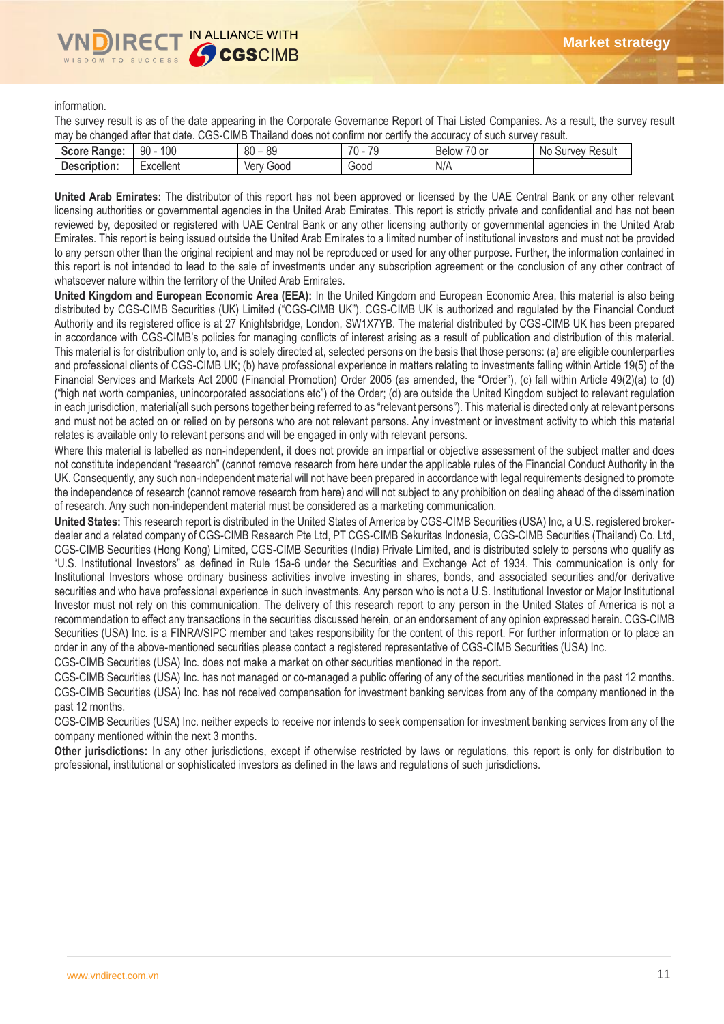information.

The survey result is as of the date appearing in the Corporate Governance Report of Thai Listed Companies. As a result, the survey result may be changed after that date. CGS-CIMB Thailand does not confirm nor certify the accuracy of such survey result.

| $S$ of the set of $S$<br>re Range: | 100<br>90             | $\circ$<br>$\circ$<br>ou<br>೦೮ | $\overline{\phantom{a}}$<br>$\overline{\phantom{a}}$<br><b>M</b> | $\rightarrow$<br>′0 or<br>Below | N0<br><b>Result</b><br><b>VeV</b><br>$\mathbf{r}$<br>our. |
|------------------------------------|-----------------------|--------------------------------|------------------------------------------------------------------|---------------------------------|-----------------------------------------------------------|
| Description:                       | $\cdots$<br>Excellent | Good<br>ver                    | Good                                                             | N/A                             |                                                           |
|                                    |                       |                                |                                                                  |                                 |                                                           |

**United Arab Emirates:** The distributor of this report has not been approved or licensed by the UAE Central Bank or any other relevant licensing authorities or governmental agencies in the United Arab Emirates. This report is strictly private and confidential and has not been reviewed by, deposited or registered with UAE Central Bank or any other licensing authority or governmental agencies in the United Arab Emirates. This report is being issued outside the United Arab Emirates to a limited number of institutional investors and must not be provided to any person other than the original recipient and may not be reproduced or used for any other purpose. Further, the information contained in this report is not intended to lead to the sale of investments under any subscription agreement or the conclusion of any other contract of whatsoever nature within the territory of the United Arab Emirates.

**United Kingdom and European Economic Area (EEA):** In the United Kingdom and European Economic Area, this material is also being distributed by CGS-CIMB Securities (UK) Limited ("CGS-CIMB UK"). CGS-CIMB UK is authorized and regulated by the Financial Conduct Authority and its registered office is at 27 Knightsbridge, London, SW1X7YB. The material distributed by CGS-CIMB UK has been prepared in accordance with CGS-CIMB's policies for managing conflicts of interest arising as a result of publication and distribution of this material. This material is for distribution only to, and is solely directed at, selected persons on the basis that those persons: (a) are eligible counterparties and professional clients of CGS-CIMB UK; (b) have professional experience in matters relating to investments falling within Article 19(5) of the Financial Services and Markets Act 2000 (Financial Promotion) Order 2005 (as amended, the "Order"), (c) fall within Article 49(2)(a) to (d) ("high net worth companies, unincorporated associations etc") of the Order; (d) are outside the United Kingdom subject to relevant regulation in each jurisdiction, material(all such persons together being referred to as "relevant persons"). This material is directed only at relevant persons and must not be acted on or relied on by persons who are not relevant persons. Any investment or investment activity to which this material relates is available only to relevant persons and will be engaged in only with relevant persons.

Where this material is labelled as non-independent, it does not provide an impartial or objective assessment of the subject matter and does not constitute independent "research" (cannot remove research from here under the applicable rules of the Financial Conduct Authority in the UK. Consequently, any such non-independent material will not have been prepared in accordance with legal requirements designed to promote the independence of research (cannot remove research from here) and will not subject to any prohibition on dealing ahead of the dissemination of research. Any such non-independent material must be considered as a marketing communication.

**United States:** This research report is distributed in the United States of America by CGS-CIMB Securities (USA) Inc, a U.S. registered brokerdealer and a related company of CGS-CIMB Research Pte Ltd, PT CGS-CIMB Sekuritas Indonesia, CGS-CIMB Securities (Thailand) Co. Ltd, CGS-CIMB Securities (Hong Kong) Limited, CGS-CIMB Securities (India) Private Limited, and is distributed solely to persons who qualify as "U.S. Institutional Investors" as defined in Rule 15a-6 under the Securities and Exchange Act of 1934. This communication is only for Institutional Investors whose ordinary business activities involve investing in shares, bonds, and associated securities and/or derivative securities and who have professional experience in such investments. Any person who is not a U.S. Institutional Investor or Major Institutional Investor must not rely on this communication. The delivery of this research report to any person in the United States of America is not a recommendation to effect any transactions in the securities discussed herein, or an endorsement of any opinion expressed herein. CGS-CIMB Securities (USA) Inc. is a FINRA/SIPC member and takes responsibility for the content of this report. For further information or to place an order in any of the above-mentioned securities please contact a registered representative of CGS-CIMB Securities (USA) Inc.

CGS-CIMB Securities (USA) Inc. does not make a market on other securities mentioned in the report.

CGS-CIMB Securities (USA) Inc. has not managed or co-managed a public offering of any of the securities mentioned in the past 12 months. CGS-CIMB Securities (USA) Inc. has not received compensation for investment banking services from any of the company mentioned in the past 12 months.

CGS-CIMB Securities (USA) Inc. neither expects to receive nor intends to seek compensation for investment banking services from any of the company mentioned within the next 3 months.

**Other jurisdictions:** In any other jurisdictions, except if otherwise restricted by laws or regulations, this report is only for distribution to professional, institutional or sophisticated investors as defined in the laws and regulations of such jurisdictions.